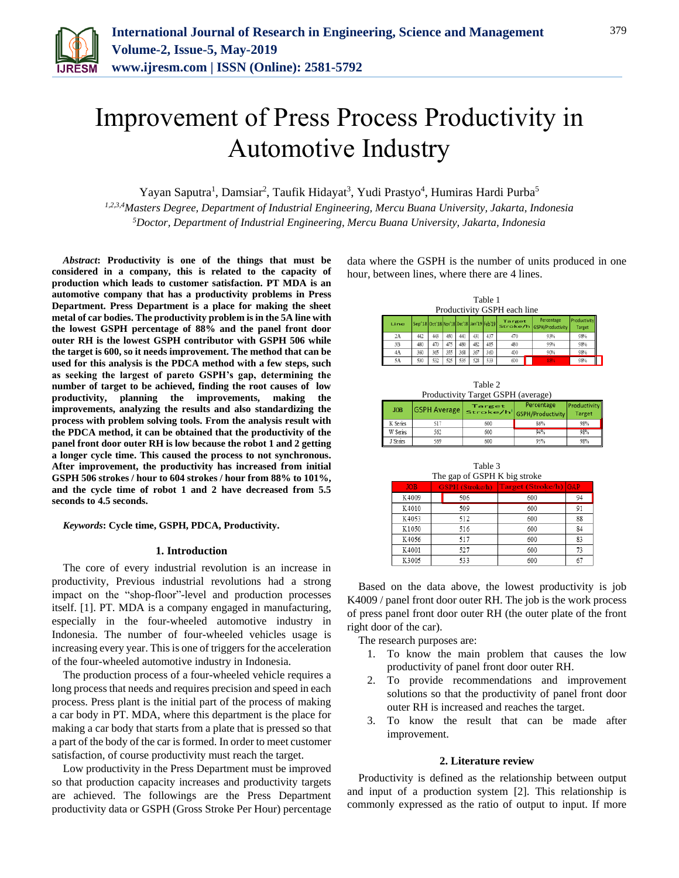

# Improvement of Press Process Productivity in Automotive Industry

Yayan Saputra<sup>1</sup>, Damsiar<sup>2</sup>, Taufik Hidayat<sup>3</sup>, Yudi Prastyo<sup>4</sup>, Humiras Hardi Purba<sup>5</sup>

*1,2,3,4Masters Degree, Department of Industrial Engineering, Mercu Buana University, Jakarta, Indonesia 5Doctor, Department of Industrial Engineering, Mercu Buana University, Jakarta, Indonesia*

*Abstract***: Productivity is one of the things that must be considered in a company, this is related to the capacity of production which leads to customer satisfaction. PT MDA is an automotive company that has a productivity problems in Press Department. Press Department is a place for making the sheet metal of car bodies. The productivity problem is in the 5A line with the lowest GSPH percentage of 88% and the panel front door outer RH is the lowest GSPH contributor with GSPH 506 while the target is 600, so it needs improvement. The method that can be used for this analysis is the PDCA method with a few steps, such as seeking the largest of pareto GSPH's gap, determining the number of target to be achieved, finding the root causes of low productivity, planning the improvements, making the improvements, analyzing the results and also standardizing the process with problem solving tools. From the analysis result with the PDCA method, it can be obtained that the productivity of the panel front door outer RH is low because the robot 1 and 2 getting a longer cycle time. This caused the process to not synchronous. After improvement, the productivity has increased from initial GSPH 506 strokes / hour to 604 strokes / hour from 88% to 101%, and the cycle time of robot 1 and 2 have decreased from 5.5 seconds to 4.5 seconds.**

#### *Keywords***: Cycle time, GSPH, PDCA, Productivity.**

#### **1. Introduction**

The core of every industrial revolution is an increase in productivity, Previous industrial revolutions had a strong impact on the "shop-floor"-level and production processes itself. [1]. PT. MDA is a company engaged in manufacturing, especially in the four-wheeled automotive industry in Indonesia. The number of four-wheeled vehicles usage is increasing every year. This is one of triggers for the acceleration of the four-wheeled automotive industry in Indonesia.

The production process of a four-wheeled vehicle requires a long process that needs and requires precision and speed in each process. Press plant is the initial part of the process of making a car body in PT. MDA, where this department is the place for making a car body that starts from a plate that is pressed so that a part of the body of the car is formed. In order to meet customer satisfaction, of course productivity must reach the target.

Low productivity in the Press Department must be improved so that production capacity increases and productivity targets are achieved. The followings are the Press Department productivity data or GSPH (Gross Stroke Per Hour) percentage data where the GSPH is the number of units produced in one hour, between lines, where there are 4 lines.

| Table 1<br>Productivity GSPH each line |                                           |     |     |     |     |     |        |                                          |                              |  |
|----------------------------------------|-------------------------------------------|-----|-----|-----|-----|-----|--------|------------------------------------------|------------------------------|--|
| Line                                   | Sep'18 Oct'18 Nov'18 Dec'18 Jan'19 Feb'19 |     |     |     |     |     | Target | Percentage<br>Stroke/h GSPH/Productivity | roductivity<br><b>Target</b> |  |
| 2A                                     | 442                                       | 443 | 450 | 441 | 431 | 437 | 470    | 93%                                      | 98%                          |  |
| 3B                                     | 480                                       | 470 | 475 | 480 | 482 | 485 | 480    | 99%                                      | 98%                          |  |
| 4A                                     | 360                                       | 365 | 355 | 368 | 367 | 360 | 400    | 90%                                      | 98%                          |  |
| 5A                                     | 530                                       | 532 | 525 | 535 | 528 | 533 | 600    | 88%                                      | 98%                          |  |

|  | Table 2                            |  |
|--|------------------------------------|--|
|  | Productivity Target GSPH (average) |  |
|  |                                    |  |

| <b>JOB</b> |     | <b>Target</b> | Percentage<br><b>GSPH Average Stroke/h GSPH/Productivity</b> | Productivity<br><b>Target</b> |
|------------|-----|---------------|--------------------------------------------------------------|-------------------------------|
| K Series   |     | 600           | 86%                                                          | 98%                           |
| W Series   | 562 | 600           | 94%                                                          | 98%                           |
| J Series   | 569 | 600           | 95%                                                          | 98%                           |

| Table 3<br>The gap of GSPH K big stroke |                        |                       |    |  |  |  |
|-----------------------------------------|------------------------|-----------------------|----|--|--|--|
| <b>JOB</b>                              | <b>GSPH</b> (Stroke/h) | Target (Stroke/h) GAP |    |  |  |  |
| K4009                                   | 506                    | 600                   | 94 |  |  |  |
| K4010                                   | 509                    | 600                   | 91 |  |  |  |
| K4053                                   | 512                    | 600                   | 88 |  |  |  |
| K1050                                   | 516                    | 600                   | 84 |  |  |  |
| K4056                                   | 517                    | 600                   | 83 |  |  |  |
| K4001                                   | 527                    | 600                   | 73 |  |  |  |
| K3005                                   | 533                    | 600                   | 67 |  |  |  |

Based on the data above, the lowest productivity is job K4009 / panel front door outer RH. The job is the work process of press panel front door outer RH (the outer plate of the front right door of the car).

The research purposes are:

- 1. To know the main problem that causes the low productivity of panel front door outer RH.
- 2. To provide recommendations and improvement solutions so that the productivity of panel front door outer RH is increased and reaches the target.
- 3. To know the result that can be made after improvement.

#### **2. Literature review**

Productivity is defined as the relationship between output and input of a production system [2]. This relationship is commonly expressed as the ratio of output to input. If more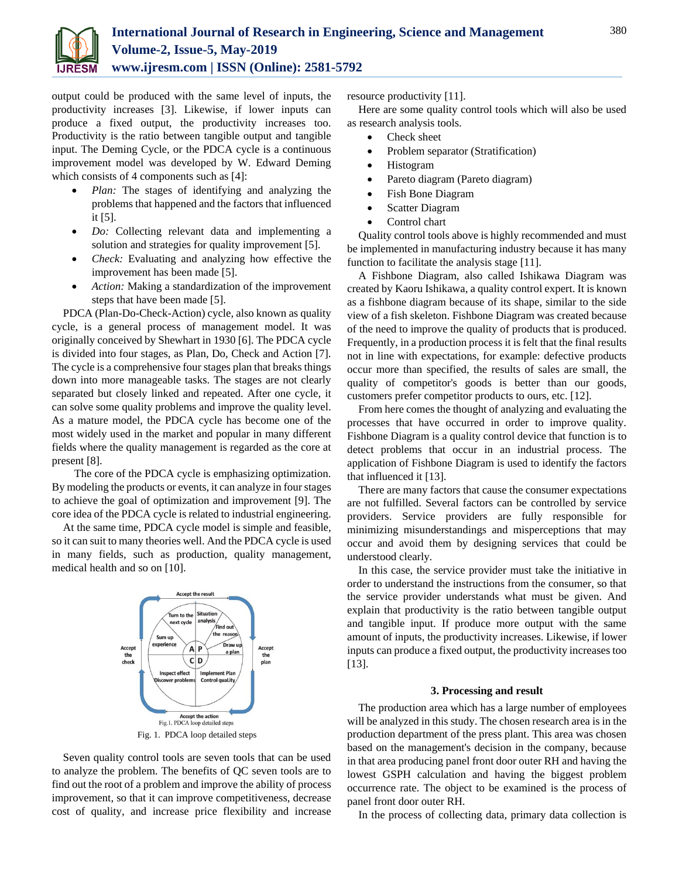

output could be produced with the same level of inputs, the productivity increases [3]. Likewise, if lower inputs can produce a fixed output, the productivity increases too. Productivity is the ratio between tangible output and tangible input. The Deming Cycle, or the PDCA cycle is a continuous improvement model was developed by W. Edward Deming which consists of 4 components such as [4]:

- *Plan:* The stages of identifying and analyzing the problems that happened and the factors that influenced it [5].
- *Do:* Collecting relevant data and implementing a solution and strategies for quality improvement [5].
- *Check:* Evaluating and analyzing how effective the improvement has been made [5].
- *Action:* Making a standardization of the improvement steps that have been made [5].

PDCA (Plan-Do-Check-Action) cycle, also known as quality cycle, is a general process of management model. It was originally conceived by Shewhart in 1930 [6]. The PDCA cycle is divided into four stages, as Plan, Do, Check and Action [7]. The cycle is a comprehensive four stages plan that breaks things down into more manageable tasks. The stages are not clearly separated but closely linked and repeated. After one cycle, it can solve some quality problems and improve the quality level. As a mature model, the PDCA cycle has become one of the most widely used in the market and popular in many different fields where the quality management is regarded as the core at present [8].

The core of the PDCA cycle is emphasizing optimization. By modeling the products or events, it can analyze in four stages to achieve the goal of optimization and improvement [9]. The core idea of the PDCA cycle is related to industrial engineering.

At the same time, PDCA cycle model is simple and feasible, so it can suit to many theories well. And the PDCA cycle is used in many fields, such as production, quality management, medical health and so on [10].



Seven quality control tools are seven tools that can be used to analyze the problem. The benefits of QC seven tools are to find out the root of a problem and improve the ability of process improvement, so that it can improve competitiveness, decrease cost of quality, and increase price flexibility and increase resource productivity [11].

Here are some quality control tools which will also be used as research analysis tools.

- Check sheet
- Problem separator (Stratification)
- Histogram
- Pareto diagram (Pareto diagram)
- Fish Bone Diagram
- Scatter Diagram
- Control chart

Quality control tools above is highly recommended and must be implemented in manufacturing industry because it has many function to facilitate the analysis stage [11].

A Fishbone Diagram, also called Ishikawa Diagram was created by Kaoru Ishikawa, a quality control expert. It is known as a fishbone diagram because of its shape, similar to the side view of a fish skeleton. Fishbone Diagram was created because of the need to improve the quality of products that is produced. Frequently, in a production process it is felt that the final results not in line with expectations, for example: defective products occur more than specified, the results of sales are small, the quality of competitor's goods is better than our goods, customers prefer competitor products to ours, etc. [12].

From here comes the thought of analyzing and evaluating the processes that have occurred in order to improve quality. Fishbone Diagram is a quality control device that function is to detect problems that occur in an industrial process. The application of Fishbone Diagram is used to identify the factors that influenced it [13].

There are many factors that cause the consumer expectations are not fulfilled. Several factors can be controlled by service providers. Service providers are fully responsible for minimizing misunderstandings and misperceptions that may occur and avoid them by designing services that could be understood clearly.

In this case, the service provider must take the initiative in order to understand the instructions from the consumer, so that the service provider understands what must be given. And explain that productivity is the ratio between tangible output and tangible input. If produce more output with the same amount of inputs, the productivity increases. Likewise, if lower inputs can produce a fixed output, the productivity increases too [13].

#### **3. Processing and result**

The production area which has a large number of employees will be analyzed in this study. The chosen research area is in the production department of the press plant. This area was chosen based on the management's decision in the company, because in that area producing panel front door outer RH and having the lowest GSPH calculation and having the biggest problem occurrence rate. The object to be examined is the process of panel front door outer RH.

In the process of collecting data, primary data collection is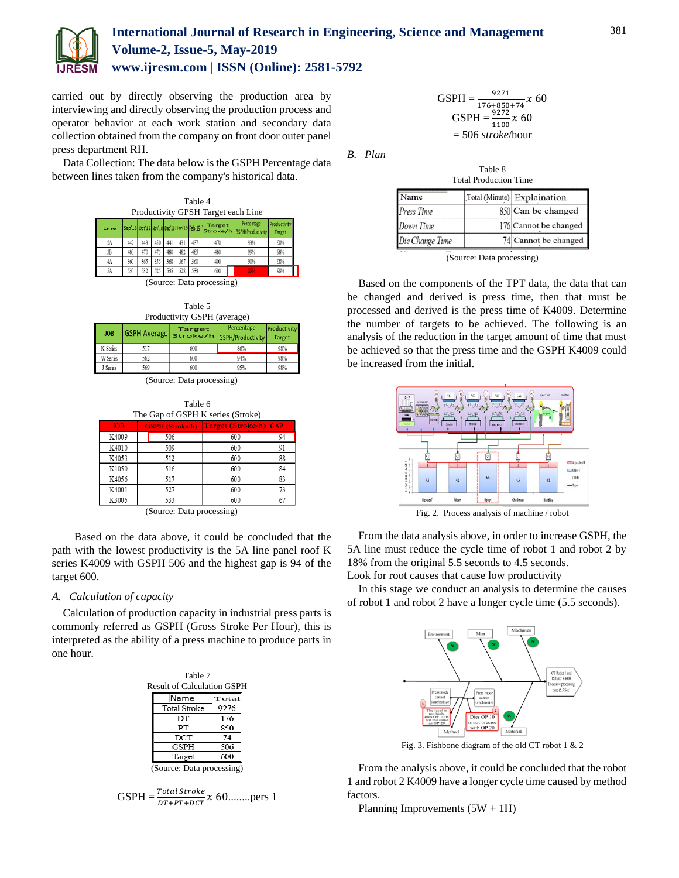

# **International Journal of Research in Engineering, Science and Management Volume-2, Issue-5, May-2019 www.ijresm.com | ISSN (Online): 2581-5792**

carried out by directly observing the production area by interviewing and directly observing the production process and operator behavior at each work station and secondary data collection obtained from the company on front door outer panel press department RH.

Data Collection: The data below is the GSPH Percentage data between lines taken from the company's historical data.

| Table 4<br>Productivity GPSH Target each Line |                                           |     |     |     |     |     |                           |                                          |                               |
|-----------------------------------------------|-------------------------------------------|-----|-----|-----|-----|-----|---------------------------|------------------------------------------|-------------------------------|
| Line                                          | Sep'18 Oct'18 Nov'18 Dec'18 Jan'19 Feb'19 |     |     |     |     |     | <b>Target</b>             | Percentage<br>Stroke/h GSPH/Productivity | Productivity<br><b>Target</b> |
| 2A                                            | 442                                       | 443 | 450 | 441 | 431 | 437 | 470                       | 93%                                      | 98%                           |
| 狙                                             | 480                                       | 470 | 475 | 480 | 482 | 485 | 480                       | 99%                                      | 98%                           |
| 4A                                            | 360                                       | 365 | 355 | 368 | 367 | 360 | 400                       | 90%                                      | 98%                           |
| 5A                                            | 530                                       | 532 | 525 | 535 | 528 | 533 | 600                       | 88%                                      | 98%                           |
|                                               |                                           |     |     |     |     |     | (Source: Data processing) |                                          |                               |

(Source: Data processing)



|            | Productivity GSPH (average) |               |                                                                  |                               |  |  |  |
|------------|-----------------------------|---------------|------------------------------------------------------------------|-------------------------------|--|--|--|
| <b>JOB</b> |                             | <b>Target</b> | Percentage<br><b>GSPH Average   stroke/h   GSPH/Productivity</b> | Productivity<br><b>Target</b> |  |  |  |
| K Series   | 517                         | 600           | 86%                                                              | 98%                           |  |  |  |
| W Series   | 562                         | 600           | 94%                                                              | 98%                           |  |  |  |
| J Series   | 569                         | 600           | 95%                                                              | 98%                           |  |  |  |



|      | Table 6 | The Gap of GSPH K series (Stroke)        |    |
|------|---------|------------------------------------------|----|
| ΙB   |         | <b>GSPH</b> (Stroke/h) Target (Stroke/h) | G. |
| 009  | 506     | 600                                      |    |
| 11 A |         |                                          |    |

|       | $(S_{\alpha} \cdot \mathbf{D}_{\alpha})$ |     |    |
|-------|------------------------------------------|-----|----|
| K3005 | 533                                      | 600 | 67 |
| K4001 | 527                                      | 600 | 73 |
| K4056 | 517                                      | 600 | 83 |
| K1050 | 516                                      | 600 | 84 |
| K4053 | 512                                      | 600 | 88 |
| K4010 | 509                                      | 600 | 91 |

(Source: Data processing)

Based on the data above, it could be concluded that the path with the lowest productivity is the 5A line panel roof K series K4009 with GSPH 506 and the highest gap is 94 of the target 600.

#### *A. Calculation of capacity*

Calculation of production capacity in industrial press parts is commonly referred as GSPH (Gross Stroke Per Hour), this is interpreted as the ability of a press machine to produce parts in one hour.

| Table 7                           |       |  |  |  |  |
|-----------------------------------|-------|--|--|--|--|
| <b>Result of Calculation GSPH</b> |       |  |  |  |  |
| Name                              | Total |  |  |  |  |
| Total Stroke                      | 9276  |  |  |  |  |
| DТ                                | 176   |  |  |  |  |
| PТ                                | 850   |  |  |  |  |
| DCT                               | 74    |  |  |  |  |
| GSPH                              | 506   |  |  |  |  |
| Target                            | 600   |  |  |  |  |
| (Source: Data processing)         |       |  |  |  |  |

$$
GSPH = \frac{Total \, stroke}{DT + PT + DCT} \, x \, 60 \, \dots \, \dots \, \text{pers 1}
$$

\n
$$
\text{GSPH} = \frac{9271}{176 + 850 + 74} x \, 60
$$
\n

\n\n $\text{GSPH} = \frac{9272}{1100} x \, 60$ \n

\n\n $= 506 \, \text{stroke/hour}$ \n

*B. Plan*

| Table 8                      |  |
|------------------------------|--|
| <b>Total Production Time</b> |  |

| Name            | Total (Minute) Explaination |
|-----------------|-----------------------------|
| Press Time      | 850 Can be changed          |
| Down Time       | 176 Cannot be changed       |
| Die Change Time | 74 Cannot be changed        |

(Source: Data processing)

Based on the components of the TPT data, the data that can be changed and derived is press time, then that must be processed and derived is the press time of K4009. Determine the number of targets to be achieved. The following is an analysis of the reduction in the target amount of time that must be achieved so that the press time and the GSPH K4009 could be increased from the initial.



Fig. 2. Process analysis of machine / robot

From the data analysis above, in order to increase GSPH, the 5A line must reduce the cycle time of robot 1 and robot 2 by 18% from the original 5.5 seconds to 4.5 seconds. Look for root causes that cause low productivity

In this stage we conduct an analysis to determine the causes of robot 1 and robot 2 have a longer cycle time (5.5 seconds).



Fig. 3. Fishbone diagram of the old CT robot 1 & 2

From the analysis above, it could be concluded that the robot 1 and robot 2 K4009 have a longer cycle time caused by method factors.

Planning Improvements  $(5W + 1H)$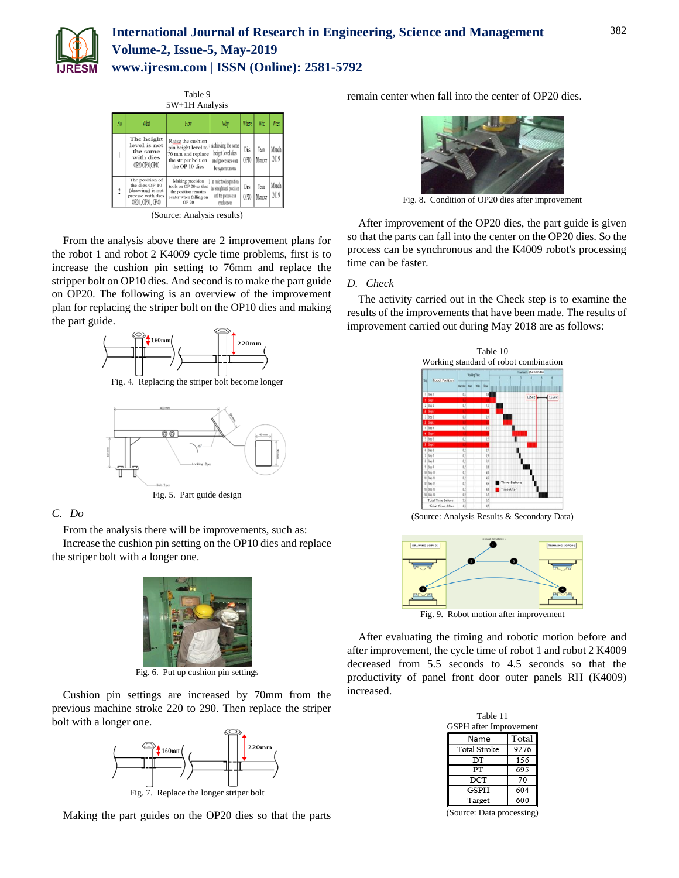



(Source: Analysis results)

From the analysis above there are 2 improvement plans for the robot 1 and robot 2 K4009 cycle time problems, first is to increase the cushion pin setting to 76mm and replace the stripper bolt on OP10 dies. And second is to make the part guide on OP20. The following is an overview of the improvement plan for replacing the striper bolt on the OP10 dies and making the part guide.



Fig. 4. Replacing the striper bolt become longer



## *C. Do*

From the analysis there will be improvements, such as:

Increase the cushion pin setting on the OP10 dies and replace the striper bolt with a longer one.



Fig. 6. Put up cushion pin settings

Cushion pin settings are increased by 70mm from the previous machine stroke 220 to 290. Then replace the striper bolt with a longer one.



Fig. 7. Replace the longer striper bolt

Making the part guides on the OP20 dies so that the parts

remain center when fall into the center of OP20 dies.



Fig. 8. Condition of OP20 dies after improvement

After improvement of the OP20 dies, the part guide is given so that the parts can fall into the center on the OP20 dies. So the process can be synchronous and the K4009 robot's processing time can be faster.

#### *D. Check*

The activity carried out in the Check step is to examine the results of the improvements that have been made. The results of improvement carried out during May 2018 are as follows:



(Source: Analysis Results & Secondary Data)



Fig. 9. Robot motion after improvement

After evaluating the timing and robotic motion before and after improvement, the cycle time of robot 1 and robot 2 K4009 decreased from 5.5 seconds to 4.5 seconds so that the productivity of panel front door outer panels RH (K4009) increased.

| Table 11                      |  |  |  |  |
|-------------------------------|--|--|--|--|
| <b>GSPH</b> after Improvement |  |  |  |  |
| Total:                        |  |  |  |  |
| 9276                          |  |  |  |  |
| 156                           |  |  |  |  |
| 695                           |  |  |  |  |
| 70                            |  |  |  |  |
| 604                           |  |  |  |  |
| 600                           |  |  |  |  |
|                               |  |  |  |  |

(Source: Data processing)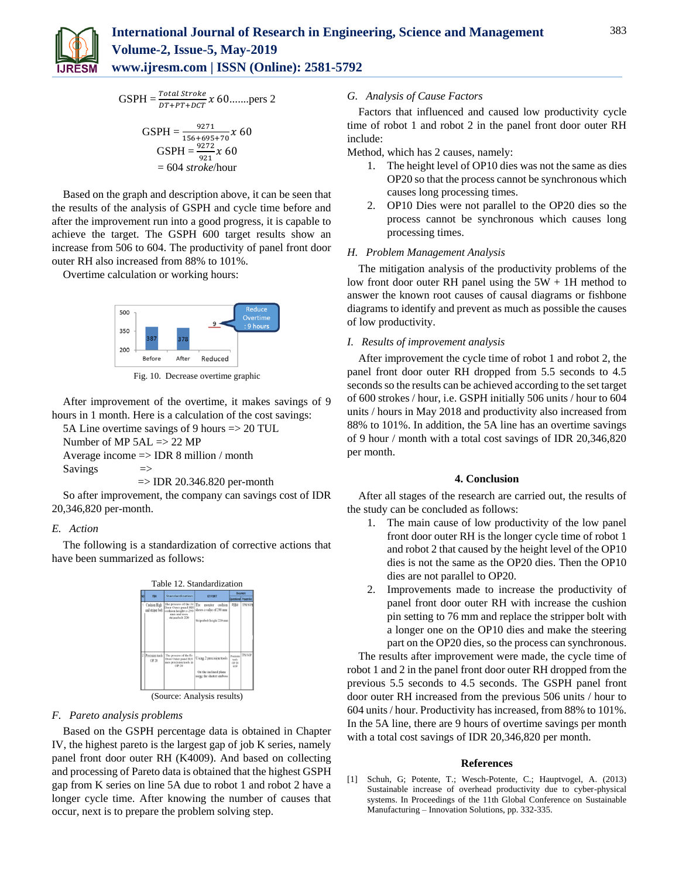

$$
GSPH = \frac{Total \, stroke}{DT + PT + DCT} x \, 60 \dots \dots \text{pers 2}
$$

$$
GSPH = \frac{9271}{156 + 695 + 70} x 60
$$
  
\n
$$
GSPH = \frac{9272}{921} x 60
$$
  
\n= 604 *stroke*/hour

Based on the graph and description above, it can be seen that the results of the analysis of GSPH and cycle time before and after the improvement run into a good progress, it is capable to achieve the target. The GSPH 600 target results show an increase from 506 to 604. The productivity of panel front door outer RH also increased from 88% to 101%.

Overtime calculation or working hours:



Fig. 10. Decrease overtime graphic

After improvement of the overtime, it makes savings of 9 hours in 1 month. Here is a calculation of the cost savings:

5A Line overtime savings of 9 hours => 20 TUL

Number of MP 5AL => 22 MP

Average income => IDR 8 million / month

Savings  $\Rightarrow$ 

 $\Rightarrow$  IDR 20.346.820 per-month

So after improvement, the company can savings cost of IDR 20,346,820 per-month.

#### *E. Action*

The following is a standardization of corrective actions that have been summarized as follows:



(Source: Analysis results)

## *F. Pareto analysis problems*

Based on the GSPH percentage data is obtained in Chapter IV, the highest pareto is the largest gap of job K series, namely panel front door outer RH (K4009). And based on collecting and processing of Pareto data is obtained that the highest GSPH gap from K series on line 5A due to robot 1 and robot 2 have a longer cycle time. After knowing the number of causes that occur, next is to prepare the problem solving step.

#### *G. Analysis of Cause Factors*

Factors that influenced and caused low productivity cycle time of robot 1 and robot 2 in the panel front door outer RH include:

Method, which has 2 causes, namely:

- 1. The height level of OP10 dies was not the same as dies OP20 so that the process cannot be synchronous which causes long processing times.
- 2. OP10 Dies were not parallel to the OP20 dies so the process cannot be synchronous which causes long processing times.

#### *H. Problem Management Analysis*

The mitigation analysis of the productivity problems of the low front door outer RH panel using the  $5W + 1H$  method to answer the known root causes of causal diagrams or fishbone diagrams to identify and prevent as much as possible the causes of low productivity.

#### *I. Results of improvement analysis*

After improvement the cycle time of robot 1 and robot 2, the panel front door outer RH dropped from 5.5 seconds to 4.5 seconds so the results can be achieved according to the set target of 600 strokes / hour, i.e. GSPH initially 506 units / hour to 604 units / hours in May 2018 and productivity also increased from 88% to 101%. In addition, the 5A line has an overtime savings of 9 hour / month with a total cost savings of IDR 20,346,820 per month.

#### **4. Conclusion**

After all stages of the research are carried out, the results of the study can be concluded as follows:

- 1. The main cause of low productivity of the low panel front door outer RH is the longer cycle time of robot 1 and robot 2 that caused by the height level of the OP10 dies is not the same as the OP20 dies. Then the OP10 dies are not parallel to OP20.
- 2. Improvements made to increase the productivity of panel front door outer RH with increase the cushion pin setting to 76 mm and replace the stripper bolt with a longer one on the OP10 dies and make the steering part on the OP20 dies, so the process can synchronous.

The results after improvement were made, the cycle time of robot 1 and 2 in the panel front door outer RH dropped from the previous 5.5 seconds to 4.5 seconds. The GSPH panel front door outer RH increased from the previous 506 units / hour to 604 units / hour. Productivity has increased, from 88% to 101%. In the 5A line, there are 9 hours of overtime savings per month with a total cost savings of IDR 20,346,820 per month.

#### **References**

[1] Schuh, G; Potente, T.; Wesch-Potente, C.; Hauptvogel, A. (2013) Sustainable increase of overhead productivity due to cyber-physical systems. In Proceedings of the 11th Global Conference on Sustainable Manufacturing – Innovation Solutions, pp. 332-335.